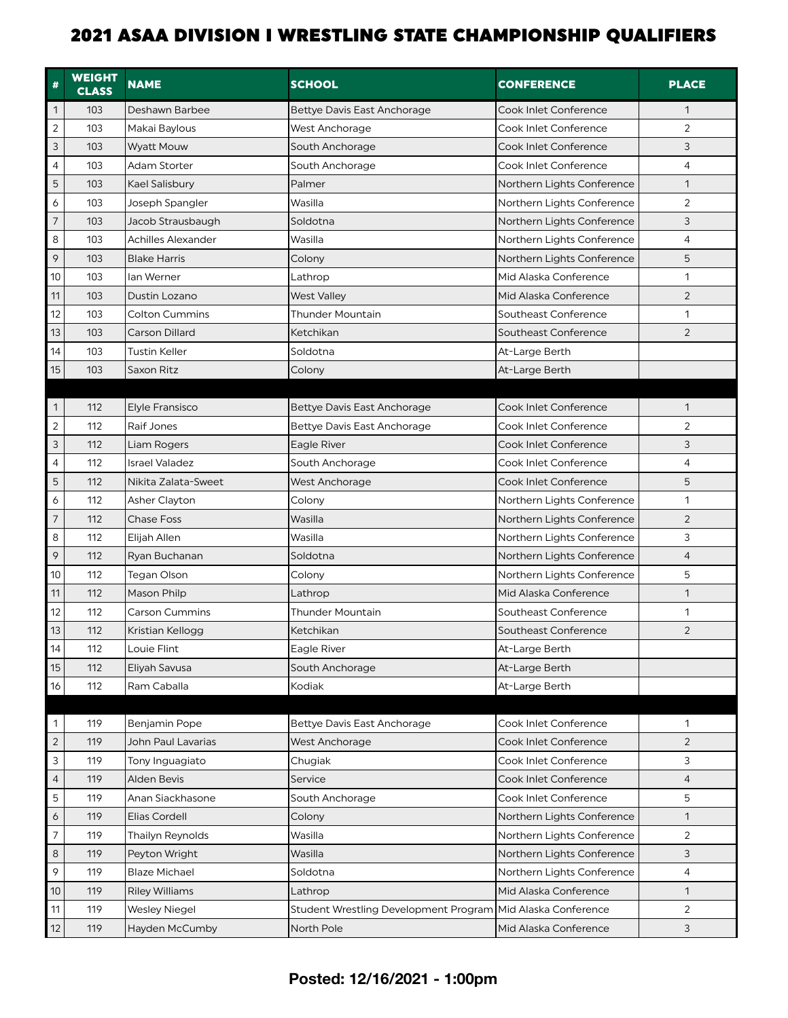| #                | <b>WEIGHT</b><br><b>CLASS</b> | <b>NAME</b>               | <b>SCHOOL</b>                         | <b>CONFERENCE</b>          | <b>PLACE</b>   |
|------------------|-------------------------------|---------------------------|---------------------------------------|----------------------------|----------------|
| $\mathbf{1}$     | 103                           | Deshawn Barbee            | <b>Bettye Davis East Anchorage</b>    | Cook Inlet Conference      | 1              |
| $\overline{2}$   | 103                           | Makai Baylous             | West Anchorage                        | Cook Inlet Conference      | $\overline{2}$ |
| $\mathsf 3$      | 103                           | <b>Wyatt Mouw</b>         | South Anchorage                       | Cook Inlet Conference      | 3              |
| $\overline{4}$   | 103                           | <b>Adam Storter</b>       | South Anchorage                       | Cook Inlet Conference      | 4              |
| 5                | 103                           | Kael Salisbury            | Palmer                                | Northern Lights Conference | 1              |
| 6                | 103                           | Joseph Spangler           | Wasilla                               | Northern Lights Conference | 2              |
| $\boldsymbol{7}$ | 103                           | Jacob Strausbaugh         | Soldotna                              | Northern Lights Conference | 3              |
| 8                | 103                           | <b>Achilles Alexander</b> | Wasilla                               | Northern Lights Conference | $\overline{4}$ |
| 9                | 103                           | <b>Blake Harris</b>       | Colony                                | Northern Lights Conference | 5              |
| 10               | 103                           | lan Werner                | Lathrop                               | Mid Alaska Conference      | 1              |
| 11               | 103                           | Dustin Lozano             | <b>West Valley</b>                    | Mid Alaska Conference      | $\overline{2}$ |
| 12               | 103                           | Colton Cummins            | Thunder Mountain                      | Southeast Conference       | 1              |
| 13               | 103                           | Carson Dillard            | Ketchikan                             | Southeast Conference       | $\overline{2}$ |
| 14               | 103                           | <b>Tustin Keller</b>      | Soldotna                              | At-Large Berth             |                |
| 15               | 103                           | Saxon Ritz                | Colony                                | At-Large Berth             |                |
|                  |                               |                           |                                       |                            |                |
| $\mathbf{1}$     | 112                           | <b>Elyle Fransisco</b>    | <b>Bettye Davis East Anchorage</b>    | Cook Inlet Conference      | 1              |
| $\overline{c}$   | 112                           | Raif Jones                | Bettye Davis East Anchorage           | Cook Inlet Conference      | 2              |
| $\mathsf 3$      | 112                           | Liam Rogers               | Eagle River                           | Cook Inlet Conference      | 3              |
| $\overline{4}$   | 112                           | <b>Israel Valadez</b>     | South Anchorage                       | Cook Inlet Conference      | $\overline{4}$ |
| 5                | 112                           | Nikita Zalata-Sweet       | <b>West Anchorage</b>                 | Cook Inlet Conference      | 5              |
| 6                | 112                           | <b>Asher Clayton</b>      | Colony                                | Northern Lights Conference | 1              |
| $\boldsymbol{7}$ | 112                           | <b>Chase Foss</b>         | Wasilla                               | Northern Lights Conference | $\overline{2}$ |
| 8                | 112                           | Elijah Allen              | Wasilla                               | Northern Lights Conference | 3              |
| 9                | 112                           | Ryan Buchanan             | Soldotna                              | Northern Lights Conference | $\overline{4}$ |
| 10               | 112                           | Tegan Olson               | Colony                                | Northern Lights Conference | 5              |
| 11               | 112                           | Mason Philp               | Lathrop                               | Mid Alaska Conference      | 1              |
| 12               | 112                           | <b>Carson Cummins</b>     | <b>Thunder Mountain</b>               | Southeast Conference       | 1              |
| 13               | 112                           | Kristian Kellogg          | Ketchikan                             | Southeast Conference       | $\overline{2}$ |
| 14               | 112                           | Louie Flint               | Eagle River                           | At-Large Berth             |                |
| 15               | 112                           | Eliyah Savusa             | South Anchorage                       | At-Large Berth             |                |
| 16               | 112                           | Ram Caballa               | Kodiak                                | At-Large Berth             |                |
|                  |                               |                           |                                       |                            |                |
| 1                | 119                           | <b>Benjamin Pope</b>      | Bettye Davis East Anchorage           | Cook Inlet Conference      | 1              |
| $\overline{2}$   | 119                           | John Paul Lavarias        | <b>West Anchorage</b>                 | Cook Inlet Conference      | 2              |
| 3                | 119                           | Tony Inguagiato           | Chugiak                               | Cook Inlet Conference      | 3              |
| $\overline{4}$   | 119                           | Alden Bevis               | Service                               | Cook Inlet Conference      | 4              |
| 5                | 119                           | Anan Siackhasone          | South Anchorage                       | Cook Inlet Conference      | 5              |
| 6                | 119                           | <b>Elias Cordell</b>      | Colony                                | Northern Lights Conference | 1              |
| $\overline{7}$   | 119                           | Thailyn Reynolds          | Wasilla                               | Northern Lights Conference | 2              |
| 8                | 119                           | Peyton Wright             | Wasilla                               | Northern Lights Conference | 3              |
| 9                | 119                           | <b>Blaze Michael</b>      | Soldotna                              | Northern Lights Conference | 4              |
| $10$             | 119                           | <b>Riley Williams</b>     | Lathrop                               | Mid Alaska Conference      | $\mathbf{1}$   |
| 11               | 119                           | <b>Wesley Niegel</b>      | Student Wrestling Development Program | Mid Alaska Conference      | $\overline{2}$ |
| 12               | 119                           | Hayden McCumby            | North Pole                            | Mid Alaska Conference      | 3              |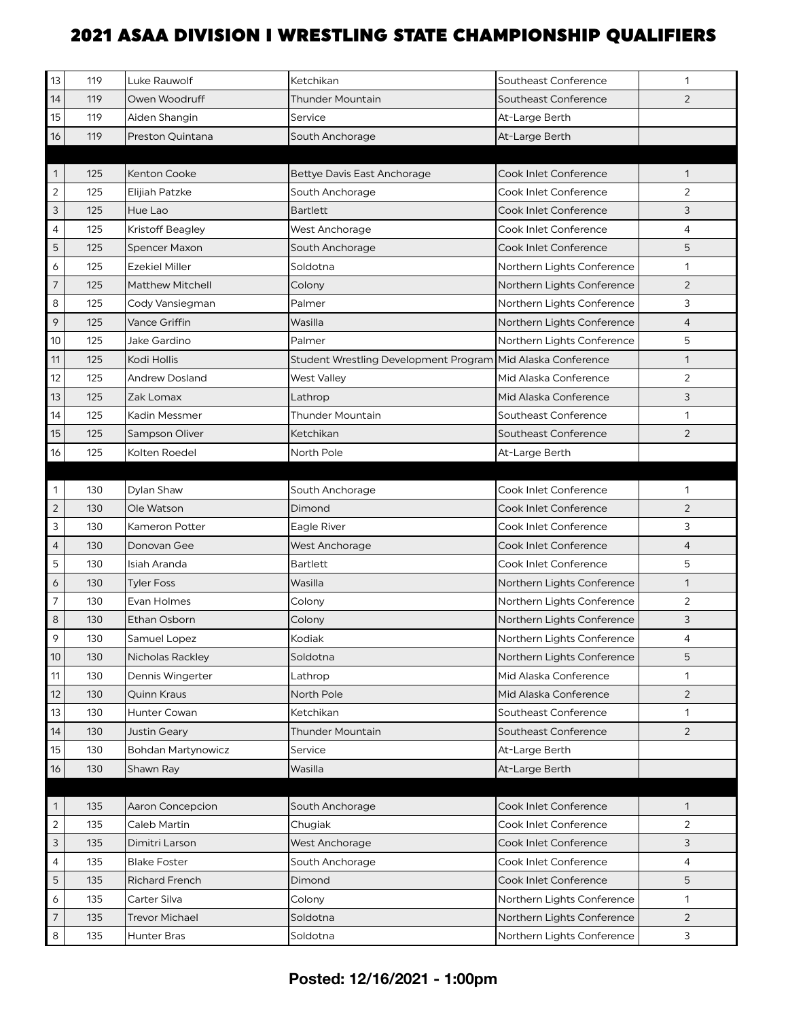| 13             | 119 | Luke Rauwolf              | Ketchikan                             | Southeast Conference       | 1              |
|----------------|-----|---------------------------|---------------------------------------|----------------------------|----------------|
| 14             | 119 | Owen Woodruff             | Thunder Mountain                      | Southeast Conference       | 2              |
| 15             | 119 | Aiden Shangin             | Service                               | At-Large Berth             |                |
| 16             | 119 | Preston Quintana          | South Anchorage                       | At-Large Berth             |                |
|                |     |                           |                                       |                            |                |
| $\mathbf{1}$   | 125 | Kenton Cooke              | <b>Bettye Davis East Anchorage</b>    | Cook Inlet Conference      | 1              |
| $\overline{2}$ | 125 | Elijiah Patzke            | South Anchorage                       | Cook Inlet Conference      | $\overline{2}$ |
| 3              | 125 | Hue Lao                   | <b>Bartlett</b>                       | Cook Inlet Conference      | 3              |
| $\overline{4}$ | 125 | Kristoff Beagley          | West Anchorage                        | Cook Inlet Conference      | $\overline{4}$ |
| 5              | 125 | Spencer Maxon             | South Anchorage                       | Cook Inlet Conference      | 5              |
| 6              | 125 | <b>Ezekiel Miller</b>     | Soldotna                              | Northern Lights Conference | 1              |
| $\overline{7}$ | 125 | <b>Matthew Mitchell</b>   | Colony                                | Northern Lights Conference | $\overline{2}$ |
| 8              | 125 | Cody Vansiegman           | Palmer                                | Northern Lights Conference | 3              |
| 9              | 125 | <b>Vance Griffin</b>      | Wasilla                               | Northern Lights Conference | $\overline{4}$ |
| 10             | 125 | Jake Gardino              | Palmer                                | Northern Lights Conference | 5              |
| 11             | 125 | Kodi Hollis               | Student Wrestling Development Program | Mid Alaska Conference      | $\mathbf{1}$   |
| 12             | 125 | <b>Andrew Dosland</b>     | <b>West Valley</b>                    | Mid Alaska Conference      | $\overline{2}$ |
| 13             | 125 | Zak Lomax                 | Lathrop                               | Mid Alaska Conference      | 3              |
| 14             | 125 | Kadin Messmer             | Thunder Mountain                      | Southeast Conference       | $\mathbf{1}$   |
| 15             | 125 | Sampson Oliver            | Ketchikan                             | Southeast Conference       | $\overline{2}$ |
| 16             | 125 | Kolten Roedel             | North Pole                            | At-Large Berth             |                |
|                |     |                           |                                       |                            |                |
| 1              | 130 | Dylan Shaw                | South Anchorage                       | Cook Inlet Conference      | 1              |
| $\sqrt{2}$     | 130 | Ole Watson                | Dimond                                | Cook Inlet Conference      | $\overline{2}$ |
| 3              | 130 | Kameron Potter            | Eagle River                           | Cook Inlet Conference      | 3              |
| $\overline{4}$ | 130 | Donovan Gee               | West Anchorage                        | Cook Inlet Conference      | $\overline{4}$ |
| 5              | 130 | Isiah Aranda              | <b>Bartlett</b>                       | Cook Inlet Conference      | 5              |
| 6              | 130 | <b>Tyler Foss</b>         | Wasilla                               | Northern Lights Conference | 1              |
| $\overline{7}$ | 130 | Evan Holmes               | Colony                                | Northern Lights Conference | $\overline{2}$ |
| 8              | 130 | Ethan Osborn              | Colony                                | Northern Lights Conference | 3              |
| 9              | 130 | Samuel Lopez              | Kodiak                                | Northern Lights Conference | $\overline{4}$ |
| 10             | 130 | <b>Nicholas Rackley</b>   | Soldotna                              | Northern Lights Conference | 5              |
| 11             | 130 | Dennis Wingerter          | Lathrop                               | Mid Alaska Conference      | 1              |
| 12             | 130 | Quinn Kraus               | North Pole                            | Mid Alaska Conference      | $\overline{2}$ |
| 13             | 130 | Hunter Cowan              | Ketchikan                             | Southeast Conference       | 1              |
| 14             | 130 | Justin Geary              | <b>Thunder Mountain</b>               | Southeast Conference       | $\overline{2}$ |
| 15             | 130 | <b>Bohdan Martynowicz</b> | Service                               | At-Large Berth             |                |
| 16             | 130 | Shawn Ray                 | Wasilla                               | At-Large Berth             |                |
|                |     |                           |                                       |                            |                |
| $\mathbf{1}$   | 135 | Aaron Concepcion          | South Anchorage                       | Cook Inlet Conference      | $\mathbf{1}$   |
| $\overline{2}$ | 135 | Caleb Martin              | Chugiak                               | Cook Inlet Conference      | $\overline{2}$ |
| 3              | 135 | Dimitri Larson            | West Anchorage                        | Cook Inlet Conference      | 3              |
| $\overline{4}$ | 135 | <b>Blake Foster</b>       | South Anchorage                       | Cook Inlet Conference      | $\overline{4}$ |
| 5              | 135 | <b>Richard French</b>     | Dimond                                | Cook Inlet Conference      | 5              |
| 6              | 135 | Carter Silva              | Colony                                | Northern Lights Conference | 1              |
| $\overline{7}$ | 135 | <b>Trevor Michael</b>     | Soldotna                              | Northern Lights Conference | $\overline{2}$ |
| 8              | 135 | Hunter Bras               | Soldotna                              | Northern Lights Conference | 3              |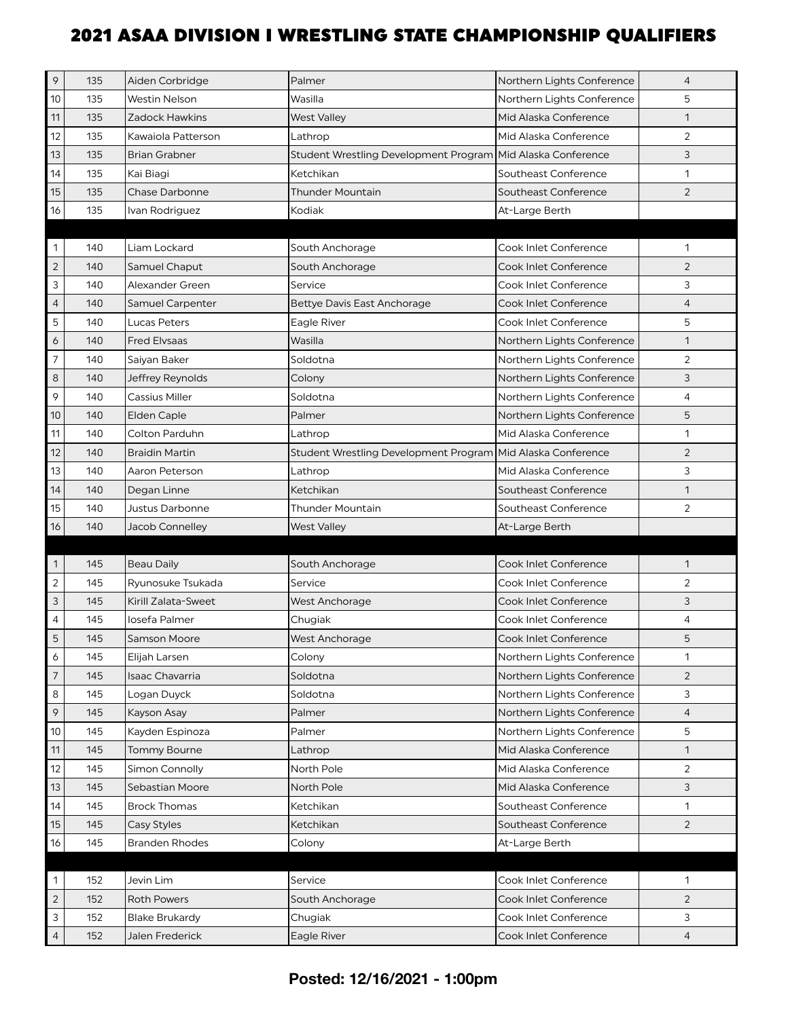| 9              | 135 | Aiden Corbridge       | Palmer                                                      | Northern Lights Conference | $\overline{4}$ |
|----------------|-----|-----------------------|-------------------------------------------------------------|----------------------------|----------------|
| 10             | 135 | Westin Nelson         | Wasilla                                                     | Northern Lights Conference | 5              |
| 11             | 135 | Zadock Hawkins        | <b>West Valley</b>                                          | Mid Alaska Conference      | 1              |
| 12             | 135 | Kawaiola Patterson    | Lathrop                                                     | Mid Alaska Conference      | 2              |
| 13             | 135 | <b>Brian Grabner</b>  | Student Wrestling Development Program Mid Alaska Conference |                            | 3              |
| 14             | 135 | Kai Biagi             | Ketchikan                                                   | Southeast Conference       | 1              |
| 15             | 135 | Chase Darbonne        | <b>Thunder Mountain</b>                                     | Southeast Conference       | $\overline{2}$ |
| 16             | 135 | Ivan Rodriguez        | Kodiak                                                      | At-Large Berth             |                |
|                |     |                       |                                                             |                            |                |
| 1              | 140 | Liam Lockard          | South Anchorage                                             | Cook Inlet Conference      | 1              |
| $\overline{2}$ | 140 | Samuel Chaput         | South Anchorage                                             | Cook Inlet Conference      | $\overline{2}$ |
| 3              | 140 | Alexander Green       | Service                                                     | Cook Inlet Conference      | 3              |
| $\overline{4}$ | 140 | Samuel Carpenter      | <b>Bettye Davis East Anchorage</b>                          | Cook Inlet Conference      | 4              |
| 5              | 140 | Lucas Peters          | Eagle River                                                 | Cook Inlet Conference      | 5              |
| 6              | 140 | <b>Fred Elvsaas</b>   | Wasilla                                                     | Northern Lights Conference | 1              |
| $\overline{7}$ | 140 | Saiyan Baker          | Soldotna                                                    | Northern Lights Conference | 2              |
| 8              | 140 | Jeffrey Reynolds      | Colony                                                      | Northern Lights Conference | 3              |
| 9              | 140 | Cassius Miller        | Soldotna                                                    | Northern Lights Conference | 4              |
| 10             | 140 | Elden Caple           | Palmer                                                      | Northern Lights Conference | 5              |
| 11             | 140 | Colton Parduhn        | Lathrop                                                     | Mid Alaska Conference      | 1              |
| 12             | 140 | Braidin Martin        | <b>Student Wrestling Development Program</b>                | Mid Alaska Conference      | $\overline{2}$ |
| 13             | 140 | Aaron Peterson        | Lathrop                                                     | Mid Alaska Conference      | 3              |
| 14             | 140 | Degan Linne           | Ketchikan                                                   | Southeast Conference       | $\mathbf{1}$   |
| 15             | 140 | Justus Darbonne       | <b>Thunder Mountain</b>                                     | Southeast Conference       | 2              |
| 16             | 140 | Jacob Connelley       | <b>West Valley</b>                                          | At-Large Berth             |                |
| $\mathbf 1$    | 145 | <b>Beau Daily</b>     | South Anchorage                                             | Cook Inlet Conference      | 1              |
| $\overline{2}$ | 145 | Ryunosuke Tsukada     | Service                                                     | Cook Inlet Conference      | 2              |
| 3              | 145 | Kirill Zalata-Sweet   | <b>West Anchorage</b>                                       | Cook Inlet Conference      | 3              |
| 4              | 145 | losefa Palmer         | Chugiak                                                     | Cook Inlet Conference      | 4              |
| 5              | 145 | Samson Moore          | <b>West Anchorage</b>                                       | Cook Inlet Conference      | 5              |
| 6              | 145 | Elijah Larsen         | Colony                                                      | Northern Lights Conference | 1              |
| $\overline{7}$ | 145 | Isaac Chavarria       | Soldotna                                                    | Northern Lights Conference | $\overline{2}$ |
| 8              | 145 | Logan Duyck           | Soldotna                                                    | Northern Lights Conference | 3              |
| 9              |     |                       |                                                             |                            |                |
| 10             | 145 | Kayson Asay           | Palmer                                                      | Northern Lights Conference | $\overline{4}$ |
|                | 145 | Kayden Espinoza       | Palmer                                                      | Northern Lights Conference | 5              |
| 11             | 145 | <b>Tommy Bourne</b>   | Lathrop                                                     | Mid Alaska Conference      | 1              |
| 12             | 145 | Simon Connolly        | North Pole                                                  | Mid Alaska Conference      | $\overline{2}$ |
| 13             | 145 | Sebastian Moore       | North Pole                                                  | Mid Alaska Conference      | 3              |
| 14             | 145 | <b>Brock Thomas</b>   | Ketchikan                                                   | Southeast Conference       | 1              |
| 15             | 145 | Casy Styles           | Ketchikan                                                   | Southeast Conference       | $\overline{2}$ |
| 16             | 145 | <b>Branden Rhodes</b> | Colony                                                      | At-Large Berth             |                |
|                |     |                       |                                                             |                            |                |
| 1              | 152 | Jevin Lim             | Service                                                     | Cook Inlet Conference      | 1              |
| $\overline{2}$ | 152 | <b>Roth Powers</b>    | South Anchorage                                             | Cook Inlet Conference      | $\overline{2}$ |
| 3              | 152 | Blake Brukardy        | Chugiak                                                     | Cook Inlet Conference      | 3              |

#### **Posted: 12/16/2021 - 1:00pm**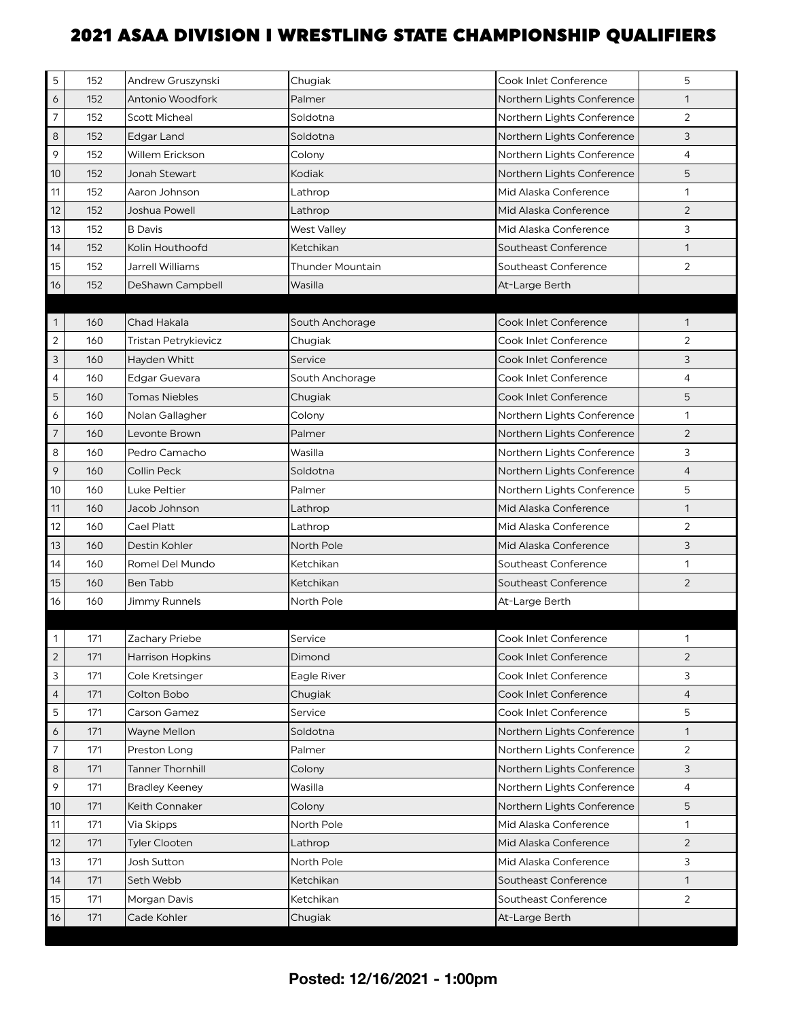| 5                         | 152 | Andrew Gruszynski       | Chugiak                 | Cook Inlet Conference        | 5              |
|---------------------------|-----|-------------------------|-------------------------|------------------------------|----------------|
| 6                         | 152 | Antonio Woodfork        | Palmer                  | Northern Lights Conference   | 1              |
| $\overline{7}$            | 152 | <b>Scott Micheal</b>    | Soldotna                | Northern Lights Conference   | $\overline{2}$ |
| 8                         | 152 | <b>Edgar Land</b>       | Soldotna                | Northern Lights Conference   | 3              |
| 9                         | 152 | Willem Erickson         | Colony                  | Northern Lights Conference   | 4              |
| 10                        | 152 | Jonah Stewart           | Kodiak                  | Northern Lights Conference   | 5              |
| 11                        | 152 | Aaron Johnson           | Lathrop                 | Mid Alaska Conference        | 1              |
| 12                        | 152 | Joshua Powell           | Lathrop                 | Mid Alaska Conference        | $\overline{2}$ |
| 13                        | 152 | <b>B</b> Davis          | <b>West Valley</b>      | Mid Alaska Conference        | 3              |
| 14                        | 152 | Kolin Houthoofd         | Ketchikan               | Southeast Conference         | $\mathbf{1}$   |
| 15                        | 152 | Jarrell Williams        | <b>Thunder Mountain</b> | Southeast Conference         | $\overline{2}$ |
| 16                        | 152 | DeShawn Campbell        | Wasilla                 | At-Large Berth               |                |
|                           |     |                         |                         |                              |                |
| $\mathbf{1}$              | 160 | Chad Hakala             | South Anchorage         | Cook Inlet Conference        | 1              |
| $\overline{2}$            | 160 | Tristan Petrykievicz    | Chugiak                 | Cook Inlet Conference        | $\overline{2}$ |
| $\ensuremath{\mathsf{3}}$ | 160 | Hayden Whitt            | Service                 | <b>Cook Inlet Conference</b> | 3              |
| $\overline{4}$            | 160 | Edgar Guevara           | South Anchorage         | Cook Inlet Conference        | 4              |
| 5                         | 160 | <b>Tomas Niebles</b>    | Chugiak                 | Cook Inlet Conference        | 5              |
| 6                         | 160 | Nolan Gallagher         | Colony                  | Northern Lights Conference   | 1              |
| $\overline{7}$            | 160 | Levonte Brown           | Palmer                  | Northern Lights Conference   | 2              |
| 8                         | 160 | Pedro Camacho           | Wasilla                 | Northern Lights Conference   | 3              |
| 9                         | 160 | Collin Peck             | Soldotna                | Northern Lights Conference   | $\overline{4}$ |
| 10                        | 160 | Luke Peltier            | Palmer                  | Northern Lights Conference   | 5              |
| 11                        | 160 | Jacob Johnson           | Lathrop                 | Mid Alaska Conference        | 1              |
| 12                        | 160 | Cael Platt              | Lathrop                 | Mid Alaska Conference        | 2              |
| 13                        | 160 | Destin Kohler           | North Pole              | Mid Alaska Conference        | 3              |
| 14                        | 160 | Romel Del Mundo         | Ketchikan               | Southeast Conference         | 1              |
| 15                        | 160 | <b>Ben Tabb</b>         | Ketchikan               | Southeast Conference         | $\overline{2}$ |
| 16                        | 160 | Jimmy Runnels           | North Pole              | At-Large Berth               |                |
|                           |     |                         |                         |                              |                |
| $\mathbf{1}$              | 171 | Zachary Priebe          | Service                 | Cook Inlet Conference        | $\mathbf{1}$   |
| $\sqrt{2}$                | 171 | <b>Harrison Hopkins</b> | Dimond                  | Cook Inlet Conference        | $\overline{2}$ |
| 3                         | 171 | Cole Kretsinger         | Eagle River             | Cook Inlet Conference        | 3              |
| $\overline{4}$            | 171 | Colton Bobo             | Chugiak                 | Cook Inlet Conference        | 4              |
| 5                         | 171 | Carson Gamez            | Service                 | Cook Inlet Conference        | 5              |
| 6                         | 171 | Wayne Mellon            | Soldotna                | Northern Lights Conference   | $\mathbf{1}$   |
| 7                         | 171 | Preston Long            | Palmer                  | Northern Lights Conference   | 2              |
| $\,8\,$                   | 171 | <b>Tanner Thornhill</b> | Colony                  | Northern Lights Conference   | 3              |
| 9                         | 171 | <b>Bradley Keeney</b>   | Wasilla                 | Northern Lights Conference   | 4              |
| 10                        | 171 | Keith Connaker          | Colony                  | Northern Lights Conference   | 5              |
| 11                        | 171 | Via Skipps              | North Pole              | Mid Alaska Conference        | 1              |
| 12                        | 171 | Tyler Clooten           | Lathrop                 | Mid Alaska Conference        | $\overline{2}$ |
| 13                        | 171 | Josh Sutton             | North Pole              | Mid Alaska Conference        | 3              |
| 14                        | 171 | Seth Webb               | Ketchikan               | Southeast Conference         | $\mathbf{1}$   |
| 15                        | 171 | Morgan Davis            | Ketchikan               | Southeast Conference         | 2              |
| 16                        | 171 | Cade Kohler             | Chugiak                 | At-Large Berth               |                |